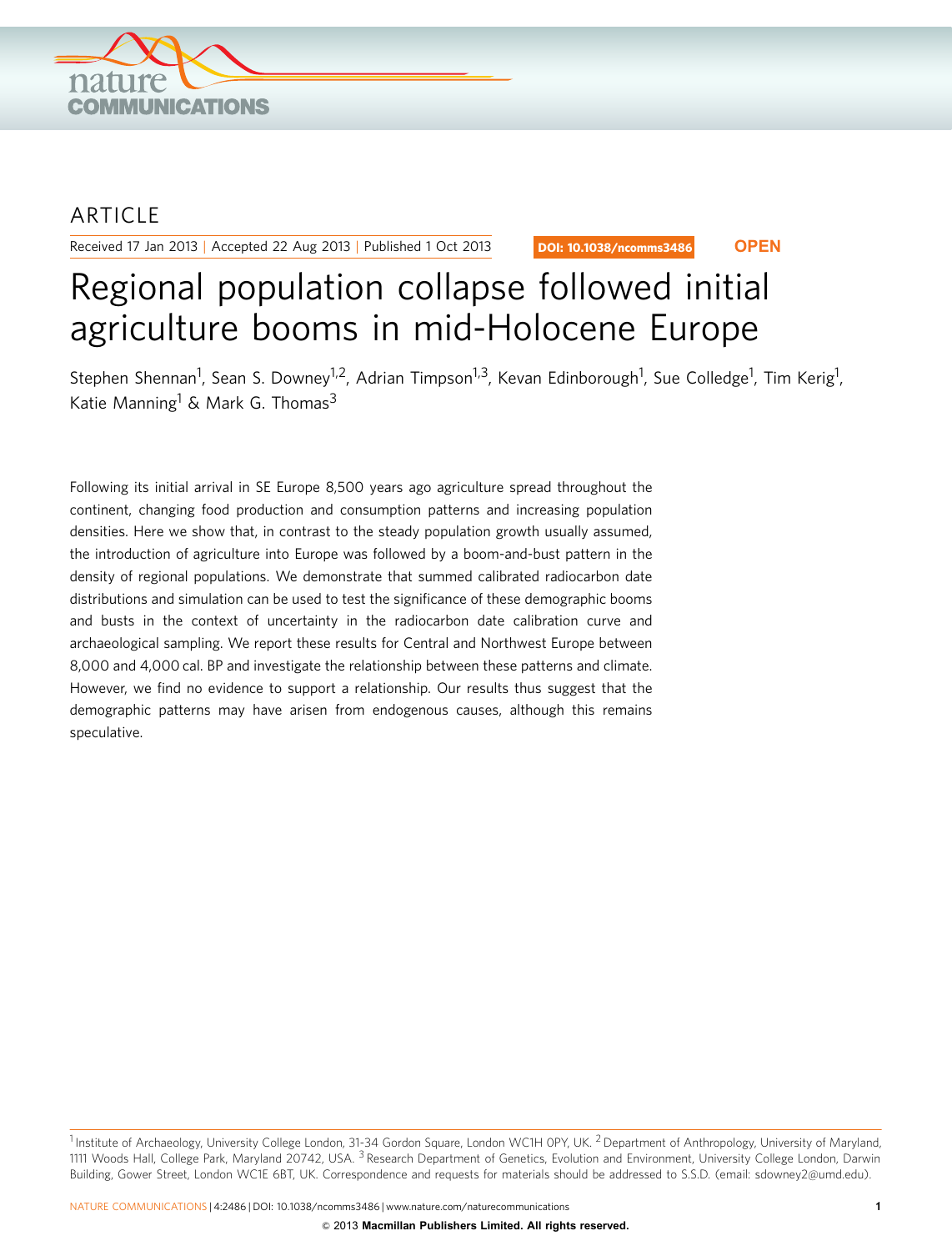

## ARTICLE

Received 17 Jan 2013 | Accepted 22 Aug 2013 | Published 1 Oct 2013

DOI: 10.1038/ncomms3486 **OPEN**

# Regional population collapse followed initial agriculture booms in mid-Holocene Europe

Stephen Shennan<sup>1</sup>, Sean S. Downey<sup>1,2</sup>, Adrian Timpson<sup>1,3</sup>, Kevan Edinborough<sup>1</sup>, Sue Colledge<sup>1</sup>, Tim Kerig<sup>1</sup>, Katie Manning<sup>1</sup> & Mark G. Thomas<sup>3</sup>

Following its initial arrival in SE Europe 8,500 years ago agriculture spread throughout the continent, changing food production and consumption patterns and increasing population densities. Here we show that, in contrast to the steady population growth usually assumed, the introduction of agriculture into Europe was followed by a boom-and-bust pattern in the density of regional populations. We demonstrate that summed calibrated radiocarbon date distributions and simulation can be used to test the significance of these demographic booms and busts in the context of uncertainty in the radiocarbon date calibration curve and archaeological sampling. We report these results for Central and Northwest Europe between 8,000 and 4,000 cal. BP and investigate the relationship between these patterns and climate. However, we find no evidence to support a relationship. Our results thus suggest that the demographic patterns may have arisen from endogenous causes, although this remains speculative.

<sup>&</sup>lt;sup>1</sup> Institute of Archaeology, University College London, 31-34 Gordon Square, London WC1H 0PY, UK. <sup>2</sup> Department of Anthropology, University of Maryland, 1111 Woods Hall, College Park, Maryland 20742, USA. <sup>3</sup> Research Department of Genetics, Evolution and Environment, University College London, Darwin Building, Gower Street, London WC1E 6BT, UK. Correspondence and requests for materials should be addressed to S.S.D. (email: [sdowney2@umd.edu\)](mailto:sdowney2@umd.edu).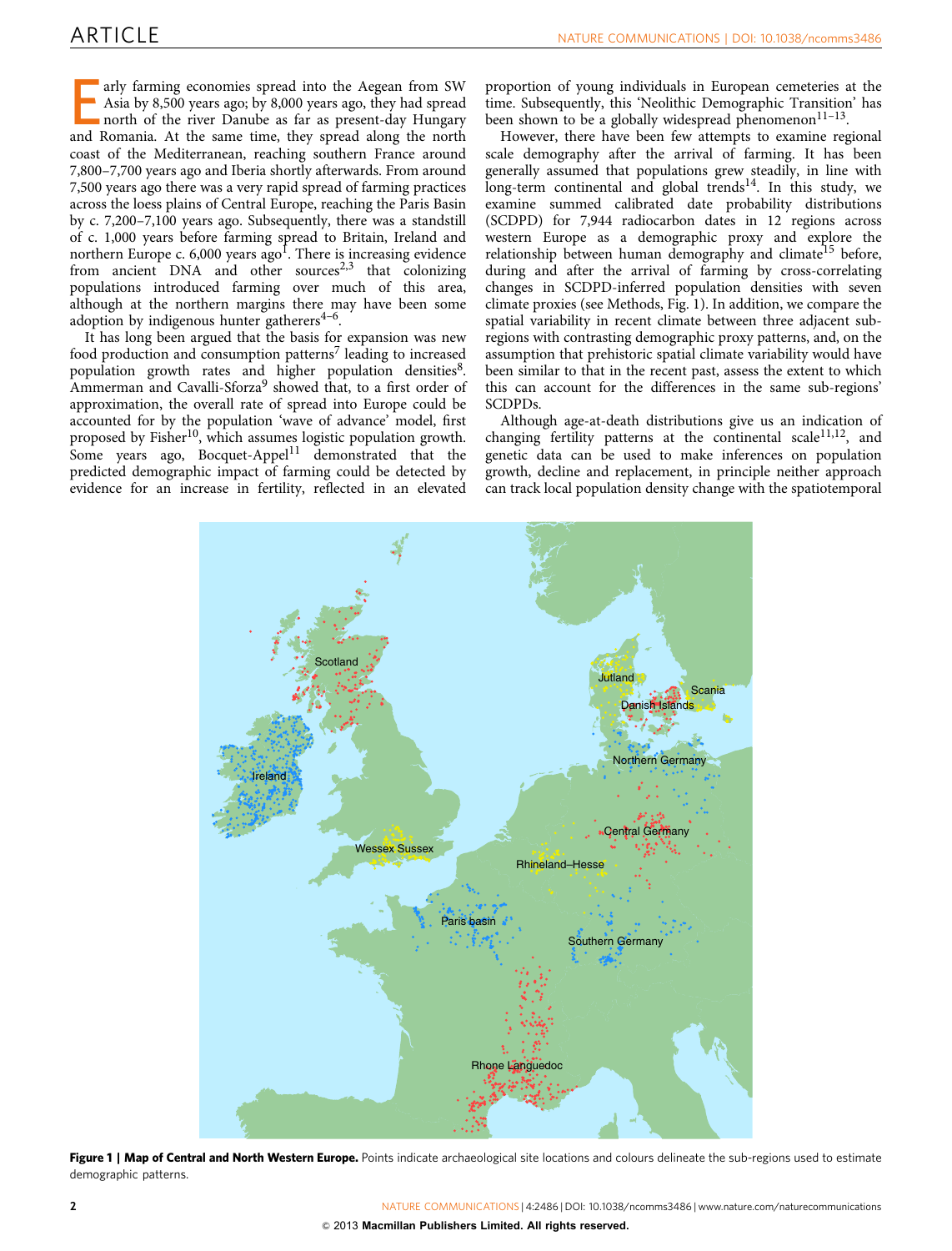Early farming economies spread into the Aegean from SW Asia by 8,500 years ago; by 8,000 years ago, they had spread north of the river Danube as far as present-day Hungary and Romania. At the same time, they spread along the north coast of the Mediterranean, reaching southern France around 7,800–7,700 years ago and Iberia shortly afterwards. From around 7,500 years ago there was a very rapid spread of farming practices across the loess plains of Central Europe, reaching the Paris Basin by c. 7,200–7,100 years ago. Subsequently, there was a standstill of c. 1,000 years before farming spread to Britain, Ireland and northern Europe c.  $6,000$  years ago<sup>1</sup>. There is increasing evidence from ancient  $DNA$  and other sources<sup>[2,3](#page-6-0)</sup> that colonizing populations introduced farming over much of this area, although at the northern margins there may have been some adoption by indigenous hunter gatherers $4-6$ .

It has long been argued that the basis for expansion was new food production and consumption patterns<sup>[7](#page-6-0)</sup> leading to increased population growth rates and higher population densities<sup>8</sup>. Ammerman and Cavalli-Sforza<sup>[9](#page-6-0)</sup> showed that, to a first order of approximation, the overall rate of spread into Europe could be accounted for by the population 'wave of advance' model, first proposed by Fisher<sup>[10](#page-6-0)</sup>, which assumes logistic population growth. Some years ago, Bocquet-Appel $11$  demonstrated that the predicted demographic impact of farming could be detected by evidence for an increase in fertility, reflected in an elevated proportion of young individuals in European cemeteries at the time. Subsequently, this 'Neolithic Demographic Transition' has been shown to be a globally widespread phenomenon $11-13$ .

However, there have been few attempts to examine regional scale demography after the arrival of farming. It has been generally assumed that populations grew steadily, in line with  $long-term$  continental and global trends<sup>[14](#page-6-0)</sup>. In this study, we examine summed calibrated date probability distributions (SCDPD) for 7,944 radiocarbon dates in 12 regions across western Europe as a demographic proxy and explore the relationship between human demography and climate<sup>[15](#page-6-0)</sup> before, during and after the arrival of farming by cross-correlating changes in SCDPD-inferred population densities with seven climate proxies (see Methods, Fig. 1). In addition, we compare the spatial variability in recent climate between three adjacent subregions with contrasting demographic proxy patterns, and, on the assumption that prehistoric spatial climate variability would have been similar to that in the recent past, assess the extent to which this can account for the differences in the same sub-regions' SCDPDs.

Although age-at-death distributions give us an indication of changing fertility patterns at the continental scale<sup>[11,12](#page-6-0)</sup>, and genetic data can be used to make inferences on population growth, decline and replacement, in principle neither approach can track local population density change with the spatiotemporal



Figure 1 | Map of Central and North Western Europe. Points indicate archaeological site locations and colours delineate the sub-regions used to estimate demographic patterns.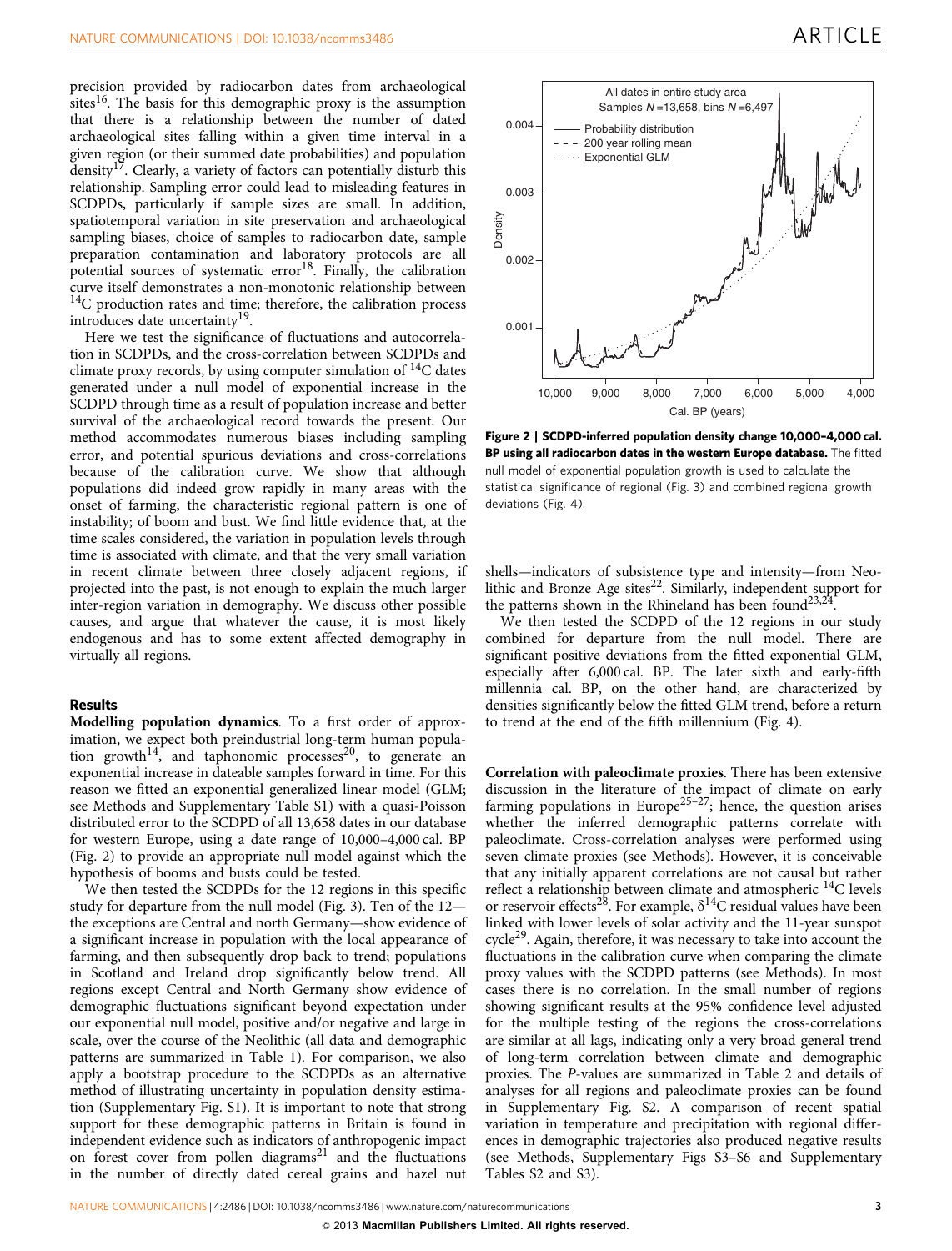<span id="page-2-0"></span>precision provided by radiocarbon dates from archaeological sites<sup>[16](#page-6-0)</sup>. The basis for this demographic proxy is the assumption that there is a relationship between the number of dated archaeological sites falling within a given time interval in a given region (or their summed date probabilities) and population density<sup>17</sup>. Clearly, a variety of factors can potentially disturb this relationship. Sampling error could lead to misleading features in SCDPDs, particularly if sample sizes are small. In addition, spatiotemporal variation in site preservation and archaeological sampling biases, choice of samples to radiocarbon date, sample preparation contamination and laboratory protocols are all potential sources of systematic  $error<sup>18</sup>$ . Finally, the calibration curve itself demonstrates a non-monotonic relationship between <sup>14</sup>C production rates and time; therefore, the calibration process introduces date uncertainty<sup>[19](#page-6-0)</sup>.

Here we test the significance of fluctuations and autocorrelation in SCDPDs, and the cross-correlation between SCDPDs and climate proxy records, by using computer simulation of  $^{14}C$  dates generated under a null model of exponential increase in the SCDPD through time as a result of population increase and better survival of the archaeological record towards the present. Our method accommodates numerous biases including sampling error, and potential spurious deviations and cross-correlations because of the calibration curve. We show that although populations did indeed grow rapidly in many areas with the onset of farming, the characteristic regional pattern is one of instability; of boom and bust. We find little evidence that, at the time scales considered, the variation in population levels through time is associated with climate, and that the very small variation in recent climate between three closely adjacent regions, if projected into the past, is not enough to explain the much larger inter-region variation in demography. We discuss other possible causes, and argue that whatever the cause, it is most likely endogenous and has to some extent affected demography in virtually all regions.

## Results

Modelling population dynamics. To a first order of approximation, we expect both preindustrial long-term human popula-tion growth<sup>[14](#page-6-0)</sup>, and taphonomic processes<sup>[20](#page-6-0)</sup>, to generate an exponential increase in dateable samples forward in time. For this reason we fitted an exponential generalized linear model (GLM; see Methods and Supplementary Table S1) with a quasi-Poisson distributed error to the SCDPD of all 13,658 dates in our database for western Europe, using a date range of 10,000–4,000 cal. BP (Fig. 2) to provide an appropriate null model against which the hypothesis of booms and busts could be tested.

We then tested the SCDPDs for the 12 regions in this specific study for departure from the null model ([Fig. 3\)](#page-3-0). Ten of the 12 the exceptions are Central and north Germany—show evidence of a significant increase in population with the local appearance of farming, and then subsequently drop back to trend; populations in Scotland and Ireland drop significantly below trend. All regions except Central and North Germany show evidence of demographic fluctuations significant beyond expectation under our exponential null model, positive and/or negative and large in scale, over the course of the Neolithic (all data and demographic patterns are summarized in [Table 1\)](#page-4-0). For comparison, we also apply a bootstrap procedure to the SCDPDs as an alternative method of illustrating uncertainty in population density estimation (Supplementary Fig. S1). It is important to note that strong support for these demographic patterns in Britain is found in independent evidence such as indicators of anthropogenic impact on forest cover from pollen diagrams<sup>[21](#page-6-0)</sup> and the fluctuations in the number of directly dated cereal grains and hazel nut



Figure 2 | SCDPD-inferred population density change 10,000–4,000 cal. BP using all radiocarbon dates in the western Europe database. The fitted null model of exponential population growth is used to calculate the statistical significance of regional ([Fig. 3\)](#page-3-0) and combined regional growth deviations ([Fig. 4](#page-5-0)).

shells—indicators of subsistence type and intensity—from Neolithic and Bronze Age sites $^{22}$ . Similarly, independent support for the patterns shown in the Rhineland has been found<sup>23,24</sup>.

We then tested the SCDPD of the 12 regions in our study combined for departure from the null model. There are significant positive deviations from the fitted exponential GLM, especially after 6,000 cal. BP. The later sixth and early-fifth millennia cal. BP, on the other hand, are characterized by densities significantly below the fitted GLM trend, before a return to trend at the end of the fifth millennium [\(Fig. 4\)](#page-5-0).

Correlation with paleoclimate proxies. There has been extensive discussion in the literature of the impact of climate on early farming populations in Europe<sup>25-27</sup>; hence, the question arises whether the inferred demographic patterns correlate with paleoclimate. Cross-correlation analyses were performed using seven climate proxies (see Methods). However, it is conceivable that any initially apparent correlations are not causal but rather reflect a relationship between climate and atmospheric 14C levels or reservoir effects<sup>28</sup>. For example,  $\delta^{14}C$  residual values have been linked with lower levels of solar activity and the 11-year sunspot cycle[29](#page-6-0). Again, therefore, it was necessary to take into account the fluctuations in the calibration curve when comparing the climate proxy values with the SCDPD patterns (see Methods). In most cases there is no correlation. In the small number of regions showing significant results at the 95% confidence level adjusted for the multiple testing of the regions the cross-correlations are similar at all lags, indicating only a very broad general trend of long-term correlation between climate and demographic proxies. The P-values are summarized in [Table 2](#page-5-0) and details of analyses for all regions and paleoclimate proxies can be found in Supplementary Fig. S2. A comparison of recent spatial variation in temperature and precipitation with regional differences in demographic trajectories also produced negative results (see Methods, Supplementary Figs S3–S6 and Supplementary Tables S2 and S3).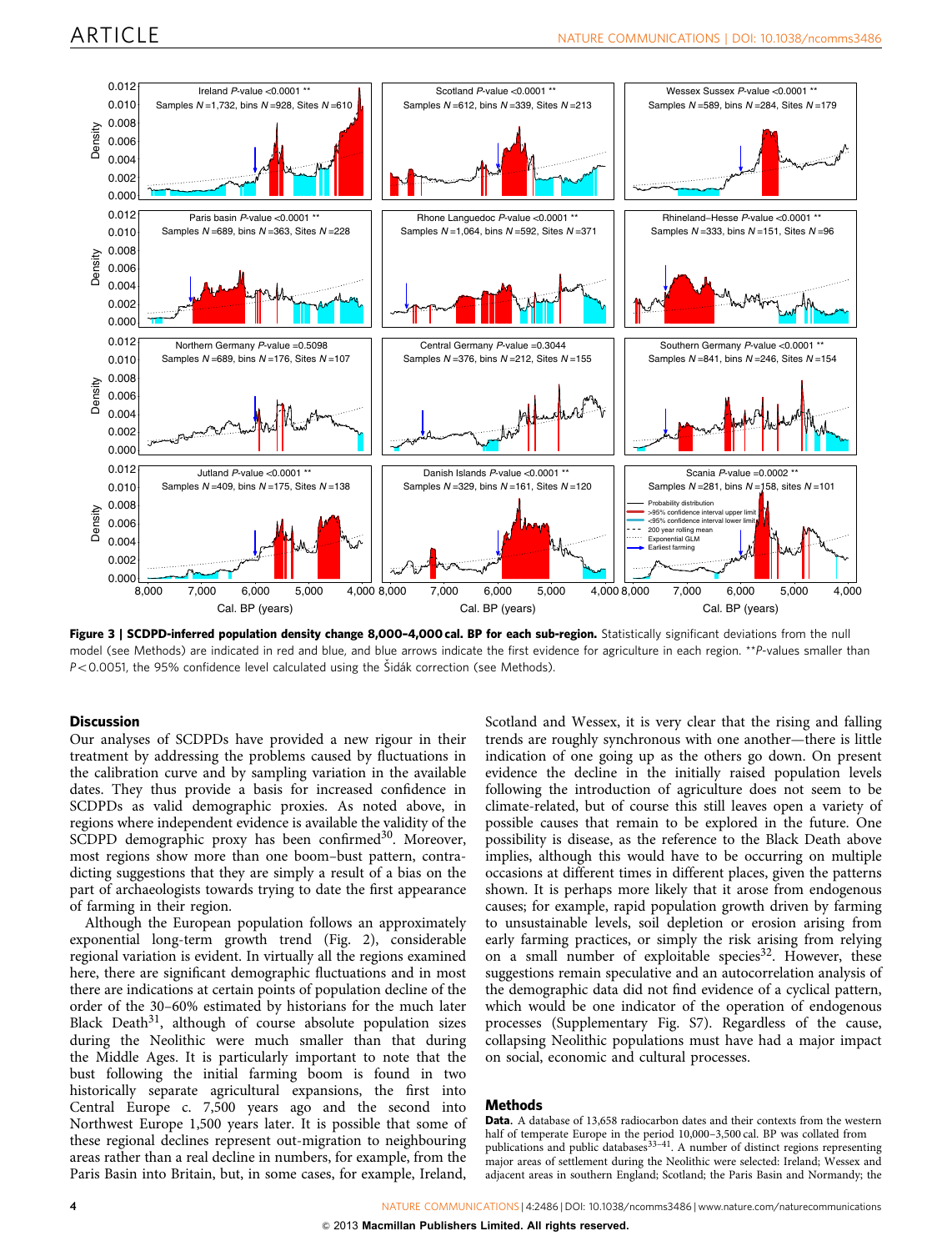<span id="page-3-0"></span>

Figure 3 | SCDPD-inferred population density change 8,000-4,000 cal. BP for each sub-region. Statistically significant deviations from the null model (see Methods) are indicated in red and blue, and blue arrows indicate the first evidence for agriculture in each region. \*\*P-values smaller than  $P < 0.0051$ , the 95% confidence level calculated using the Šidák correction (see Methods).

### **Discussion**

Our analyses of SCDPDs have provided a new rigour in their treatment by addressing the problems caused by fluctuations in the calibration curve and by sampling variation in the available dates. They thus provide a basis for increased confidence in SCDPDs as valid demographic proxies. As noted above, in regions where independent evidence is available the validity of the SCDPD demographic proxy has been confirmed<sup>30</sup>. Moreover, most regions show more than one boom–bust pattern, contradicting suggestions that they are simply a result of a bias on the part of archaeologists towards trying to date the first appearance of farming in their region.

Although the European population follows an approximately exponential long-term growth trend ([Fig. 2\)](#page-2-0), considerable regional variation is evident. In virtually all the regions examined here, there are significant demographic fluctuations and in most there are indications at certain points of population decline of the order of the 30–60% estimated by historians for the much later Black Death $31$ , although of course absolute population sizes during the Neolithic were much smaller than that during the Middle Ages. It is particularly important to note that the bust following the initial farming boom is found in two historically separate agricultural expansions, the first into Central Europe c. 7,500 years ago and the second into Northwest Europe 1,500 years later. It is possible that some of these regional declines represent out-migration to neighbouring areas rather than a real decline in numbers, for example, from the Paris Basin into Britain, but, in some cases, for example, Ireland,

Scotland and Wessex, it is very clear that the rising and falling trends are roughly synchronous with one another—there is little indication of one going up as the others go down. On present evidence the decline in the initially raised population levels following the introduction of agriculture does not seem to be climate-related, but of course this still leaves open a variety of possible causes that remain to be explored in the future. One possibility is disease, as the reference to the Black Death above implies, although this would have to be occurring on multiple occasions at different times in different places, given the patterns shown. It is perhaps more likely that it arose from endogenous causes; for example, rapid population growth driven by farming to unsustainable levels, soil depletion or erosion arising from early farming practices, or simply the risk arising from relying on a small number of exploitable species<sup>[32](#page-6-0)</sup>. However, these suggestions remain speculative and an autocorrelation analysis of the demographic data did not find evidence of a cyclical pattern, which would be one indicator of the operation of endogenous processes (Supplementary Fig. S7). Regardless of the cause, collapsing Neolithic populations must have had a major impact on social, economic and cultural processes.

## **Methods**

Data. A database of 13,658 radiocarbon dates and their contexts from the western half of temperate Europe in the period 10,000–3,500 cal. BP was collated from publications and public databases<sup>33-41</sup>. A number of distinct regions representing major areas of settlement during the Neolithic were selected: Ireland; Wessex and adjacent areas in southern England; Scotland; the Paris Basin and Normandy; the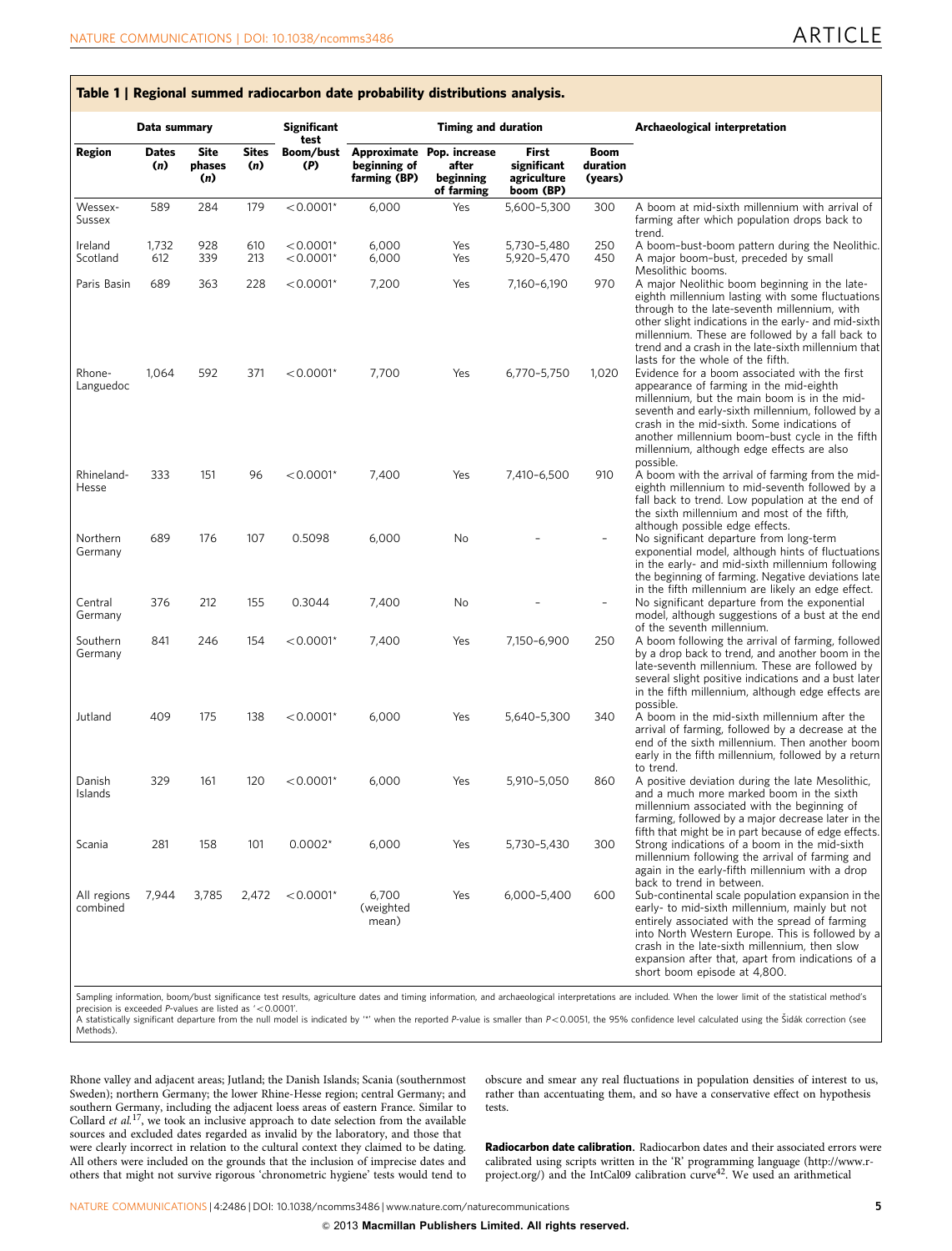Table 1 | Regional summed radiocarbon date probability distributions analysis.

<span id="page-4-0"></span>

|                         | Data summary |                       |                     | <b>Significant</b>         | <b>Timing and duration</b>   |                                                               |                                                  |                                    | Archaeological interpretation                                                                                                                                                                                                                                                                                                                                                  |  |
|-------------------------|--------------|-----------------------|---------------------|----------------------------|------------------------------|---------------------------------------------------------------|--------------------------------------------------|------------------------------------|--------------------------------------------------------------------------------------------------------------------------------------------------------------------------------------------------------------------------------------------------------------------------------------------------------------------------------------------------------------------------------|--|
| Region                  | Dates<br>(n) | Site<br>phases<br>(n) | <b>Sites</b><br>(n) | test<br>Boom/bust<br>(P)   | beginning of<br>farming (BP) | Approximate Pop. increase<br>after<br>beginning<br>of farming | First<br>significant<br>agriculture<br>boom (BP) | <b>Boom</b><br>duration<br>(years) |                                                                                                                                                                                                                                                                                                                                                                                |  |
| Wessex-<br>Sussex       | 589          | 284                   | 179                 | $< 0.0001*$                | 6,000                        | Yes                                                           | 5,600-5,300                                      | 300                                | A boom at mid-sixth millennium with arrival of<br>farming after which population drops back to<br>trend.                                                                                                                                                                                                                                                                       |  |
| Ireland<br>Scotland     | 1,732<br>612 | 928<br>339            | 610<br>213          | $< 0.0001*$<br>$< 0.0001*$ | 6,000<br>6,000               | Yes<br>Yes                                                    | 5,730-5,480<br>5,920-5,470                       | 250<br>450                         | A boom-bust-boom pattern during the Neolithic.<br>A major boom-bust, preceded by small                                                                                                                                                                                                                                                                                         |  |
| Paris Basin             | 689          | 363                   | 228                 | $< 0.0001*$                | 7,200                        | Yes                                                           | 7,160-6,190                                      | 970                                | Mesolithic booms.<br>A major Neolithic boom beginning in the late-<br>eighth millennium lasting with some fluctuations<br>through to the late-seventh millennium, with<br>other slight indications in the early- and mid-sixth<br>millennium. These are followed by a fall back to<br>trend and a crash in the late-sixth millennium that<br>lasts for the whole of the fifth. |  |
| Rhone-<br>Languedoc     | 1,064        | 592                   | 371                 | $< 0.0001*$                | 7,700                        | Yes                                                           | 6,770-5,750                                      | 1,020                              | Evidence for a boom associated with the first<br>appearance of farming in the mid-eighth<br>millennium, but the main boom is in the mid-<br>seventh and early-sixth millennium, followed by a<br>crash in the mid-sixth. Some indications of<br>another millennium boom-bust cycle in the fifth<br>millennium, although edge effects are also<br>possible.                     |  |
| Rhineland-<br>Hesse     | 333          | 151                   | 96                  | $< 0.0001*$                | 7.400                        | Yes                                                           | 7,410-6,500                                      | 910                                | A boom with the arrival of farming from the mid-<br>eighth millennium to mid-seventh followed by a<br>fall back to trend. Low population at the end of<br>the sixth millennium and most of the fifth,<br>although possible edge effects.                                                                                                                                       |  |
| Northern<br>Germany     | 689          | 176                   | 107                 | 0.5098                     | 6,000                        | No                                                            |                                                  |                                    | No significant departure from long-term<br>exponential model, although hints of fluctuations<br>in the early- and mid-sixth millennium following<br>the beginning of farming. Negative deviations late<br>in the fifth millennium are likely an edge effect.                                                                                                                   |  |
| Central<br>Germany      | 376          | 212                   | 155                 | 0.3044                     | 7,400                        | No                                                            |                                                  | $\overline{a}$                     | No significant departure from the exponential<br>model, although suggestions of a bust at the end<br>of the seventh millennium.                                                                                                                                                                                                                                                |  |
| Southern<br>Germany     | 841          | 246                   | 154                 | $< 0.0001*$                | 7,400                        | Yes                                                           | 7,150-6,900                                      | 250                                | A boom following the arrival of farming, followed<br>by a drop back to trend, and another boom in the<br>late-seventh millennium. These are followed by<br>several slight positive indications and a bust later<br>in the fifth millennium, although edge effects are<br>possible.                                                                                             |  |
| Jutland                 | 409          | 175                   | 138                 | $< 0.0001*$                | 6,000                        | Yes                                                           | 5,640-5,300                                      | 340                                | A boom in the mid-sixth millennium after the<br>arrival of farming, followed by a decrease at the<br>end of the sixth millennium. Then another boom<br>early in the fifth millennium, followed by a return<br>to trend.                                                                                                                                                        |  |
| Danish<br>Islands       | 329          | 161                   | 120                 | $< 0.0001*$                | 6,000                        | Yes                                                           | 5,910-5,050                                      | 860                                | A positive deviation during the late Mesolithic,<br>and a much more marked boom in the sixth<br>millennium associated with the beginning of<br>farming, followed by a major decrease later in the<br>fifth that might be in part because of edge effects.                                                                                                                      |  |
| Scania                  | 281          | 158                   | 101                 | $0.0002*$                  | 6,000                        | Yes                                                           | 5,730-5,430                                      | 300                                | Strong indications of a boom in the mid-sixth<br>millennium following the arrival of farming and<br>again in the early-fifth millennium with a drop<br>back to trend in between.                                                                                                                                                                                               |  |
| All regions<br>combined | 7,944        | 3,785                 | 2,472               | $< 0.0001*$                | 6,700<br>(weighted<br>mean)  | Yes                                                           | 6,000-5,400                                      | 600                                | Sub-continental scale population expansion in the<br>early- to mid-sixth millennium, mainly but not<br>entirely associated with the spread of farming<br>into North Western Europe. This is followed by a<br>crash in the late-sixth millennium, then slow<br>expansion after that, apart from indications of a<br>short boom episode at 4,800.                                |  |

ure dates and timing information, and archaeological interpretations are included. When the lower limit of the statistical n precision is exceeded  $P$ -values are listed as '<0.0001'.

.<br>A statistically significant departure from the null model is indicated by ™ when the reported P-value is smaller than P<0.0051, the 95% confidence level calculated using the Šidák correction (see<br>Methods).

Rhone valley and adjacent areas; Jutland; the Danish Islands; Scania (southernmost Sweden); northern Germany; the lower Rhine-Hesse region; central Germany; and southern Germany, including the adjacent loess areas of eastern France. Similar to Collard et  $al$ .<sup>[17](#page-6-0)</sup>, we took an inclusive approach to date selection from the available sources and excluded dates regarded as invalid by the laboratory, and those that were clearly incorrect in relation to the cultural context they claimed to be dating. All others were included on the grounds that the inclusion of imprecise dates and others that might not survive rigorous 'chronometric hygiene' tests would tend to obscure and smear any real fluctuations in population densities of interest to us, rather than accentuating them, and so have a conservative effect on hypothesis tests.

Radiocarbon date calibration. Radiocarbon dates and their associated errors were calibrated using scripts written in the 'R' programming language (http://www.r-<br>[project.org/](http://www.r-project.org/)) and the IntCal09 calibration curve<sup>42</sup>. We used an arithmetical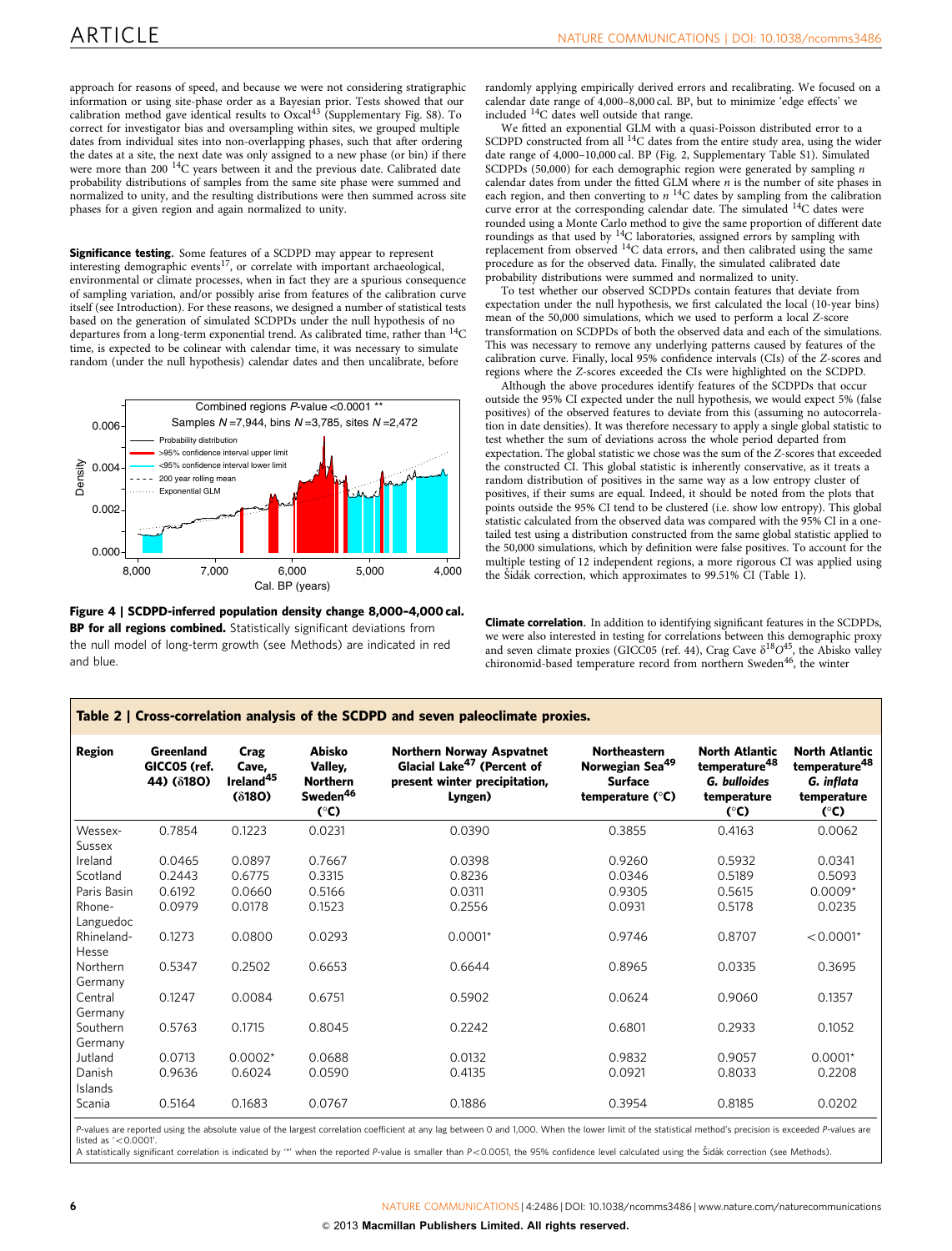<span id="page-5-0"></span>approach for reasons of speed, and because we were not considering stratigraphic information or using site-phase order as a Bayesian prior. Tests showed that our calibration method gave identical results to Oxcal[43](#page-6-0) (Supplementary Fig. S8). To correct for investigator bias and oversampling within sites, we grouped multiple dates from individual sites into non-overlapping phases, such that after ordering the dates at a site, the next date was only assigned to a new phase (or bin) if there were more than 200<sup>14</sup>C years between it and the previous date. Calibrated date probability distributions of samples from the same site phase were summed and normalized to unity, and the resulting distributions were then summed across site phases for a given region and again normalized to unity.

Significance testing. Some features of a SCDPD may appear to represent interesting demographic events<sup>17</sup>, or correlate with important archaeological, environmental or climate processes, when in fact they are a spurious consequence of sampling variation, and/or possibly arise from features of the calibration curve itself (see Introduction). For these reasons, we designed a number of statistical tests based on the generation of simulated SCDPDs under the null hypothesis of no departures from a long-term exponential trend. As calibrated time, rather than 14C time, is expected to be colinear with calendar time, it was necessary to simulate random (under the null hypothesis) calendar dates and then uncalibrate, before



Figure 4 | SCDPD-inferred population density change 8,000–4,000 cal. BP for all regions combined. Statistically significant deviations from the null model of long-term growth (see Methods) are indicated in red and blue.

Table 2 | Cross-correlation analysis of the SCDPD and seven paleoclimate proxies.

randomly applying empirically derived errors and recalibrating. We focused on a calendar date range of 4,000–8,000 cal. BP, but to minimize 'edge effects' we included 14C dates well outside that range.

We fitted an exponential GLM with a quasi-Poisson distributed error to a SCDPD constructed from all <sup>14</sup>C dates from the entire study area, using the wider date range of 4,000–10,000 cal. BP ([Fig. 2,](#page-2-0) Supplementary Table S1). Simulated SCDPDs (50,000) for each demographic region were generated by sampling  $n$ calendar dates from under the fitted GLM where  $n$  is the number of site phases in each region, and then converting to  $n^{14}C$  dates by sampling from the calibration curve error at the corresponding calendar date. The simulated <sup>14</sup>C dates were rounded using a Monte Carlo method to give the same proportion of different date roundings as that used by  $14C$  laboratories, assigned errors by sampling with replacement from observed  $^{14}$ C data errors, and then calibrated using the same procedure as for the observed data. Finally, the simulated calibrated date probability distributions were summed and normalized to unity.

To test whether our observed SCDPDs contain features that deviate from expectation under the null hypothesis, we first calculated the local (10-year bins) mean of the 50,000 simulations, which we used to perform a local Z-score transformation on SCDPDs of both the observed data and each of the simulations. This was necessary to remove any underlying patterns caused by features of the calibration curve. Finally, local 95% confidence intervals (CIs) of the Z-scores and regions where the Z-scores exceeded the CIs were highlighted on the SCDPD.

Although the above procedures identify features of the SCDPDs that occur outside the 95% CI expected under the null hypothesis, we would expect 5% (false positives) of the observed features to deviate from this (assuming no autocorrelation in date densities). It was therefore necessary to apply a single global statistic to test whether the sum of deviations across the whole period departed from expectation. The global statistic we chose was the sum of the Z-scores that exceeded the constructed CI. This global statistic is inherently conservative, as it treats a random distribution of positives in the same way as a low entropy cluster of positives, if their sums are equal. Indeed, it should be noted from the plots that points outside the 95% CI tend to be clustered (i.e. show low entropy). This global statistic calculated from the observed data was compared with the 95% CI in a onetailed test using a distribution constructed from the same global statistic applied to the 50,000 simulations, which by definition were false positives. To account for the multiple testing of 12 independent regions, a more rigorous CI was applied using the Šidák correction, which approximates to 99.51% CI [\(Table 1](#page-4-0)).

Climate correlation. In addition to identifying significant features in the SCDPDs, we were also interested in testing for correlations between this demographic proxy and seven climate proxies (GICC05 [\(ref. 44](#page-6-0)), Crag Cave  $\delta^{18}O^{45}$ , the Abisko valley chironomid-based temperature record from northern Sweden<sup>[46](#page-7-0)</sup>, the winter

| <b>Region</b>                    | Greenland<br>GICCO5 (ref.<br>44) ( $\delta$ 180) | Crag<br>Cave,<br>Ireland <sup>45</sup><br>$(\delta180)$ | Abisko<br>Valley,<br><b>Northern</b><br>Sweden <sup>46</sup><br>(°C) | <b>Northern Norway Aspvatnet</b><br>Glacial Lake <sup>47</sup> (Percent of<br>present winter precipitation,<br>Lyngen) | <b>Northeastern</b><br>Norwegian Sea <sup>49</sup><br><b>Surface</b><br>temperature (°C) | <b>North Atlantic</b><br>temperature <sup>48</sup><br>G. bulloides<br>temperature<br>(°C) | <b>North Atlantic</b><br>temperature <sup>48</sup><br>G. inflata<br>temperature<br>$(^{\circ}C)$ |
|----------------------------------|--------------------------------------------------|---------------------------------------------------------|----------------------------------------------------------------------|------------------------------------------------------------------------------------------------------------------------|------------------------------------------------------------------------------------------|-------------------------------------------------------------------------------------------|--------------------------------------------------------------------------------------------------|
| Wessex-                          | 0.7854                                           | 0.1223                                                  | 0.0231                                                               | 0.0390                                                                                                                 | 0.3855                                                                                   | 0.4163                                                                                    | 0.0062                                                                                           |
| Sussex                           |                                                  |                                                         |                                                                      |                                                                                                                        |                                                                                          |                                                                                           |                                                                                                  |
| Ireland                          | 0.0465                                           | 0.0897                                                  | 0.7667                                                               | 0.0398                                                                                                                 | 0.9260                                                                                   | 0.5932                                                                                    | 0.0341                                                                                           |
| Scotland                         | 0.2443                                           | 0.6775                                                  | 0.3315                                                               | 0.8236                                                                                                                 | 0.0346                                                                                   | 0.5189                                                                                    | 0.5093                                                                                           |
| Paris Basin                      | 0.6192                                           | 0.0660                                                  | 0.5166                                                               | 0.0311                                                                                                                 | 0.9305                                                                                   | 0.5615                                                                                    | $0.0009*$                                                                                        |
| Rhone-                           | 0.0979                                           | 0.0178                                                  | 0.1523                                                               | 0.2556                                                                                                                 | 0.0931                                                                                   | 0.5178                                                                                    | 0.0235                                                                                           |
| Languedoc<br>Rhineland-<br>Hesse | 0.1273                                           | 0.0800                                                  | 0.0293                                                               | $0.0001*$                                                                                                              | 0.9746                                                                                   | 0.8707                                                                                    | $< 0.0001*$                                                                                      |
| Northern<br>Germany              | 0.5347                                           | 0.2502                                                  | 0.6653                                                               | 0.6644                                                                                                                 | 0.8965                                                                                   | 0.0335                                                                                    | 0.3695                                                                                           |
| Central<br>Germany               | 0.1247                                           | 0.0084                                                  | 0.6751                                                               | 0.5902                                                                                                                 | 0.0624                                                                                   | 0.9060                                                                                    | 0.1357                                                                                           |
| Southern<br>Germany              | 0.5763                                           | 0.1715                                                  | 0.8045                                                               | 0.2242                                                                                                                 | 0.6801                                                                                   | 0.2933                                                                                    | 0.1052                                                                                           |
| Jutland                          | 0.0713                                           | $0.0002*$                                               | 0.0688                                                               | 0.0132                                                                                                                 | 0.9832                                                                                   | 0.9057                                                                                    | $0.0001*$                                                                                        |
| Danish<br>Islands                | 0.9636                                           | 0.6024                                                  | 0.0590                                                               | 0.4135                                                                                                                 | 0.0921                                                                                   | 0.8033                                                                                    | 0.2208                                                                                           |
| Scania                           | 0.5164                                           | 0.1683                                                  | 0.0767                                                               | 0.1886                                                                                                                 | 0.3954                                                                                   | 0.8185                                                                                    | 0.0202                                                                                           |

P-values are reported using the absolute value of the largest correlation coefficient at any lag between 0 and 1,000. When the lower limit of the statistical method's precision is exceeded P-values are listed as  $\leq 0.0001$ '.

A statistically significant correlation is indicated by "' when the reported P-value is smaller than P<0.0051, the 95% confidence level calculated using the Sidák correction (see Methods).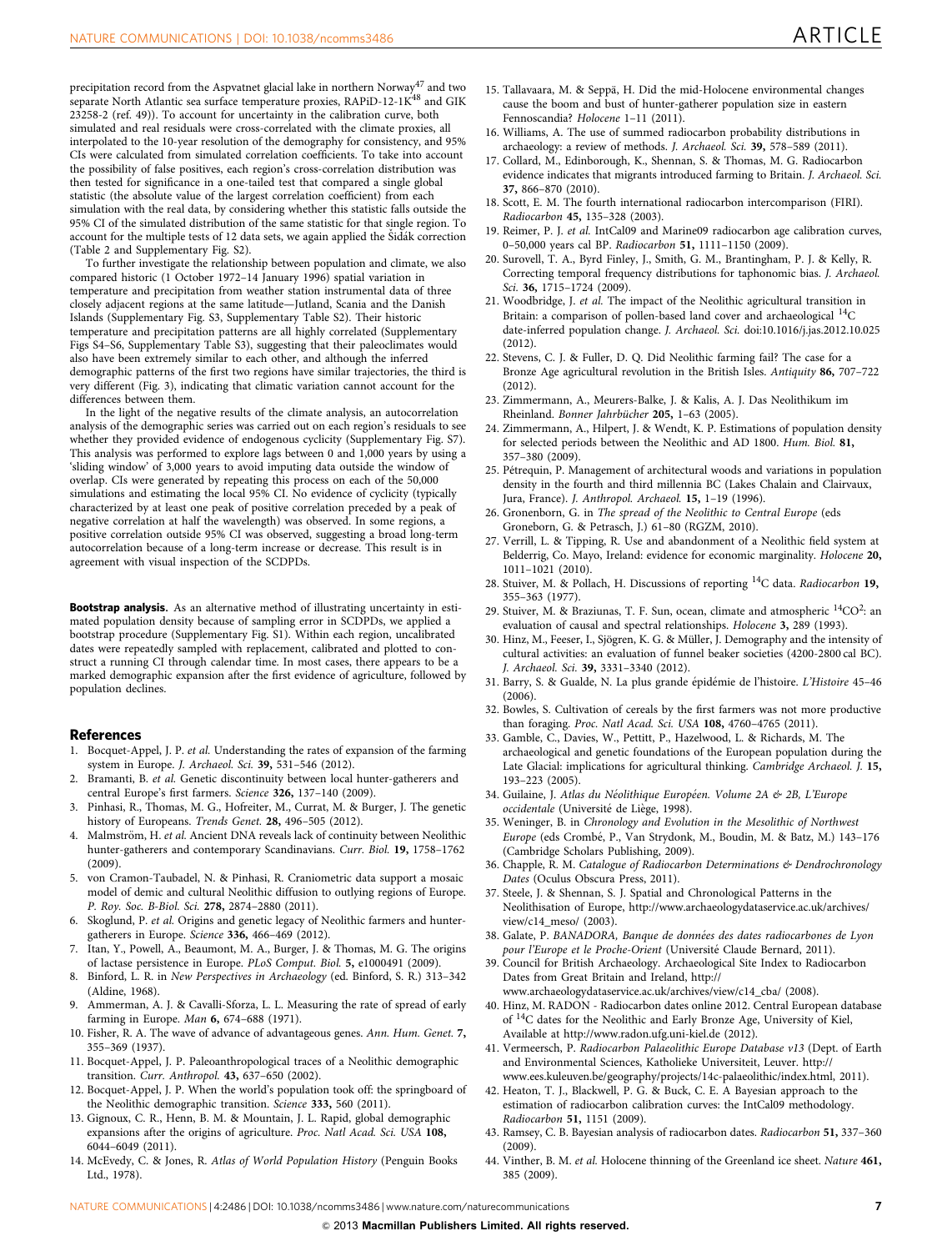<span id="page-6-0"></span>precipitation record from the Aspvatnet glacial lake in northern Norway<sup>[47](#page-7-0)</sup> and two separate North Atlantic sea surface temperature proxies, RAPiD-12-1K<sup>[48](#page-7-0)</sup> and GIK 23258-2 ([ref. 49](#page-7-0))). To account for uncertainty in the calibration curve, both simulated and real residuals were cross-correlated with the climate proxies, all interpolated to the 10-year resolution of the demography for consistency, and 95% CIs were calculated from simulated correlation coefficients. To take into account the possibility of false positives, each region's cross-correlation distribution was then tested for significance in a one-tailed test that compared a single global statistic (the absolute value of the largest correlation coefficient) from each simulation with the real data, by considering whether this statistic falls outside the 95% CI of the simulated distribution of the same statistic for that single region. To account for the multiple tests of 12 data sets, we again applied the Šidák correction [\(Table 2](#page-5-0) and Supplementary Fig. S2).

To further investigate the relationship between population and climate, we also compared historic (1 October 1972–14 January 1996) spatial variation in temperature and precipitation from weather station instrumental data of three closely adjacent regions at the same latitude—Jutland, Scania and the Danish Islands (Supplementary Fig. S3, Supplementary Table S2). Their historic temperature and precipitation patterns are all highly correlated (Supplementary Figs S4–S6, Supplementary Table S3), suggesting that their paleoclimates would also have been extremely similar to each other, and although the inferred demographic patterns of the first two regions have similar trajectories, the third is very different [\(Fig. 3](#page-3-0)), indicating that climatic variation cannot account for the differences between them.

In the light of the negative results of the climate analysis, an autocorrelation analysis of the demographic series was carried out on each region's residuals to see whether they provided evidence of endogenous cyclicity (Supplementary Fig. S7). This analysis was performed to explore lags between 0 and 1,000 years by using a 'sliding window' of 3,000 years to avoid imputing data outside the window of overlap. CIs were generated by repeating this process on each of the 50,000 simulations and estimating the local 95% CI. No evidence of cyclicity (typically characterized by at least one peak of positive correlation preceded by a peak of negative correlation at half the wavelength) was observed. In some regions, a positive correlation outside 95% CI was observed, suggesting a broad long-term autocorrelation because of a long-term increase or decrease. This result is in agreement with visual inspection of the SCDPDs.

Bootstrap analysis. As an alternative method of illustrating uncertainty in estimated population density because of sampling error in SCDPDs, we applied a bootstrap procedure (Supplementary Fig. S1). Within each region, uncalibrated dates were repeatedly sampled with replacement, calibrated and plotted to construct a running CI through calendar time. In most cases, there appears to be a marked demographic expansion after the first evidence of agriculture, followed by population declines.

#### References

- 1. Bocquet-Appel, J. P. et al. Understanding the rates of expansion of the farming system in Europe. J. Archaeol. Sci. 39, 531-546 (2012).
- Bramanti, B. et al. Genetic discontinuity between local hunter-gatherers and central Europe's first farmers. Science 326, 137–140 (2009).
- Pinhasi, R., Thomas, M. G., Hofreiter, M., Currat, M. & Burger, J. The genetic history of Europeans. Trends Genet. 28, 496-505 (2012).
- 4. Malmström, H. et al. Ancient DNA reveals lack of continuity between Neolithic hunter-gatherers and contemporary Scandinavians. Curr. Biol. 19, 1758–1762 (2009).
- 5. von Cramon-Taubadel, N. & Pinhasi, R. Craniometric data support a mosaic model of demic and cultural Neolithic diffusion to outlying regions of Europe. P. Roy. Soc. B-Biol. Sci. 278, 2874–2880 (2011).
- 6. Skoglund, P. et al. Origins and genetic legacy of Neolithic farmers and huntergatherers in Europe. Science 336, 466–469 (2012).
- 7. Itan, Y., Powell, A., Beaumont, M. A., Burger, J. & Thomas, M. G. The origins of lactase persistence in Europe. PLoS Comput. Biol. 5, e1000491 (2009).
- 8. Binford, L. R. in New Perspectives in Archaeology (ed. Binford, S. R.) 313–342 (Aldine, 1968).
- Ammerman, A. J. & Cavalli-Sforza, L. L. Measuring the rate of spread of early farming in Europe. Man 6, 674–688 (1971).
- 10. Fisher, R. A. The wave of advance of advantageous genes. Ann. Hum. Genet. 7, 355–369 (1937).
- 11. Bocquet-Appel, J. P. Paleoanthropological traces of a Neolithic demographic transition. Curr. Anthropol. 43, 637–650 (2002).
- 12. Bocquet-Appel, J. P. When the world's population took off: the springboard of the Neolithic demographic transition. Science 333, 560 (2011).
- 13. Gignoux, C. R., Henn, B. M. & Mountain, J. L. Rapid, global demographic expansions after the origins of agriculture. Proc. Natl Acad. Sci. USA 108, 6044–6049 (2011).
- 14. McEvedy, C. & Jones, R. Atlas of World Population History (Penguin Books Ltd., 1978).
- 15. Tallavaara, M. & Seppä, H. Did the mid-Holocene environmental changes cause the boom and bust of hunter-gatherer population size in eastern Fennoscandia? Holocene 1–11 (2011).
- 16. Williams, A. The use of summed radiocarbon probability distributions in archaeology: a review of methods. J. Archaeol. Sci. 39, 578–589 (2011).
- 17. Collard, M., Edinborough, K., Shennan, S. & Thomas, M. G. Radiocarbon evidence indicates that migrants introduced farming to Britain. J. Archaeol. Sci. 37, 866–870 (2010).
- 18. Scott, E. M. The fourth international radiocarbon intercomparison (FIRI). Radiocarbon 45, 135–328 (2003).
- 19. Reimer, P. J. et al. IntCal09 and Marine09 radiocarbon age calibration curves, 0–50,000 years cal BP. Radiocarbon 51, 1111–1150 (2009).
- 20. Surovell, T. A., Byrd Finley, J., Smith, G. M., Brantingham, P. J. & Kelly, R. Correcting temporal frequency distributions for taphonomic bias. J. Archaeol. Sci. 36, 1715–1724 (2009).
- 21. Woodbridge, J. et al. The impact of the Neolithic agricultural transition in Britain: a comparison of pollen-based land cover and archaeological 14C date-inferred population change. J. Archaeol. Sci. doi:[10.1016/j.jas.2012.10.025](http://dx.doi.org/10.1016/j.jas.2012.10.025) (2012).
- 22. Stevens, C. J. & Fuller, D. Q. Did Neolithic farming fail? The case for a Bronze Age agricultural revolution in the British Isles. Antiquity 86, 707–722 (2012).
- 23. Zimmermann, A., Meurers-Balke, J. & Kalis, A. J. Das Neolithikum im Rheinland. Bonner Jahrbücher 205, 1-63 (2005).
- 24. Zimmermann, A., Hilpert, J. & Wendt, K. P. Estimations of population density for selected periods between the Neolithic and AD 1800. Hum. Biol. 81, 357–380 (2009).
- 25. Pétrequin, P. Management of architectural woods and variations in population density in the fourth and third millennia BC (Lakes Chalain and Clairvaux, Jura, France). J. Anthropol. Archaeol. 15, 1–19 (1996).
- 26. Gronenborn, G. in The spread of the Neolithic to Central Europe (eds Groneborn, G. & Petrasch, J.) 61–80 (RGZM, 2010).
- 27. Verrill, L. & Tipping, R. Use and abandonment of a Neolithic field system at Belderrig, Co. Mayo, Ireland: evidence for economic marginality. Holocene 20, 1011–1021 (2010).
- 28. Stuiver, M. & Pollach, H. Discussions of reporting <sup>14</sup>C data. Radiocarbon 19, 355–363 (1977).
- 29. Stuiver, M. & Braziunas, T. F. Sun, ocean, climate and atmospheric  ${}^{14}CO^2$ : an evaluation of causal and spectral relationships. Holocene 3, 289 (1993).
- 30. Hinz, M., Feeser, I., Sjögren, K. G. & Müller, J. Demography and the intensity of cultural activities: an evaluation of funnel beaker societies (4200-2800 cal BC). J. Archaeol. Sci. 39, 3331–3340 (2012).
- 31. Barry, S. & Gualde, N. La plus grande épidémie de l'histoire. L'Histoire 45-46 (2006).
- 32. Bowles, S. Cultivation of cereals by the first farmers was not more productive than foraging. Proc. Natl Acad. Sci. USA 108, 4760–4765 (2011).
- 33. Gamble, C., Davies, W., Pettitt, P., Hazelwood, L. & Richards, M. The archaeological and genetic foundations of the European population during the Late Glacial: implications for agricultural thinking. Cambridge Archaeol. J. 15, 193–223 (2005).
- 34. Guilaine, J. Atlas du Néolithique Européen. Volume 2A & 2B, L'Europe occidentale (Université de Liège, 1998).
- 35. Weninger, B. in Chronology and Evolution in the Mesolithic of Northwest Europe (eds Crombé, P., Van Strydonk, M., Boudin, M. & Batz, M.) 143-176 (Cambridge Scholars Publishing, 2009).
- 36. Chapple, R. M. Catalogue of Radiocarbon Determinations & Dendrochronology Dates (Oculus Obscura Press, 2011).
- 37. Steele, J. & Shennan, S. J. Spatial and Chronological Patterns in the Neolithisation of Europe, [http://www.archaeologydataservice.ac.uk/archives/](http://www.archaeologydataservice.ac.uk/archives/view/c14_meso/) [view/c14\\_meso/](http://www.archaeologydataservice.ac.uk/archives/view/c14_meso/) (2003).
- 38. Galate, P. BANADORA, Banque de données des dates radiocarbones de Lyon pour l'Europe et le Proche-Orient (Université Claude Bernard, 2011).
- 39. Council for British Archaeology. Archaeological Site Index to Radiocarbon Dates from Great Britain and Ireland, [http://](http://www.archaeologydataservice.ac.uk/archives/view/c14_cba/)
- [www.archaeologydataservice.ac.uk/archives/view/c14\\_cba/](http://www.archaeologydataservice.ac.uk/archives/view/c14_cba/) (2008). 40. Hinz, M. RADON - Radiocarbon dates online 2012. Central European database of 14C dates for the Neolithic and Early Bronze Age, University of Kiel, Available at<http://www.radon.ufg.uni-kiel.de> (2012).
- 41. Vermeersch, P. Radiocarbon Palaeolithic Europe Database v13 (Dept. of Earth and Environmental Sciences, Katholieke Universiteit, Leuver. [http://](http://www.ees.kuleuven.be/geography/projects/14c-palaeolithic/index.html) [www.ees.kuleuven.be/geography/projects/14c-palaeolithic/index.html,](http://www.ees.kuleuven.be/geography/projects/14c-palaeolithic/index.html) 2011).
- 42. Heaton, T. J., Blackwell, P. G. & Buck, C. E. A Bayesian approach to the estimation of radiocarbon calibration curves: the IntCal09 methodology. Radiocarbon 51, 1151 (2009).
- 43. Ramsey, C. B. Bayesian analysis of radiocarbon dates. Radiocarbon 51, 337–360 (2009).
- 44. Vinther, B. M. et al. Holocene thinning of the Greenland ice sheet. Nature 461, 385 (2009).